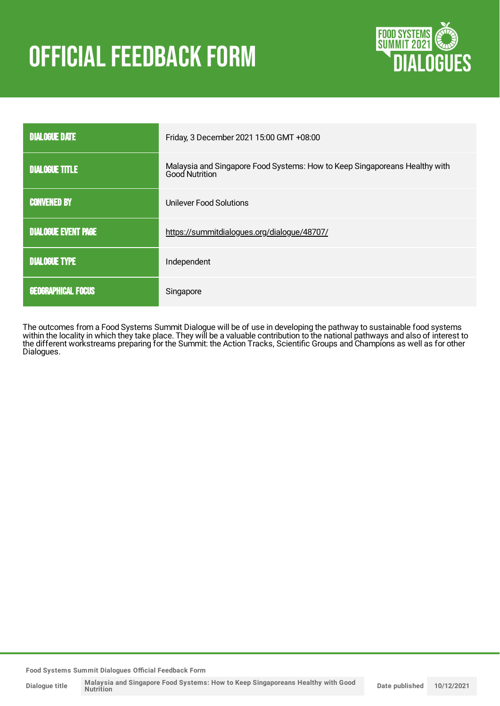# **OFFICIAL FEEDBACK FORM**



| <b>DIALOGUE DATE</b>       | Friday, 3 December 2021 15:00 GMT +08:00                                                            |
|----------------------------|-----------------------------------------------------------------------------------------------------|
| <b>DIALOGUE TITLE</b>      | Malaysia and Singapore Food Systems: How to Keep Singaporeans Healthy with<br><b>Good Nutrition</b> |
| <b>CONVENED BY</b>         | Unilever Food Solutions                                                                             |
| <b>DIALOGUE EVENT PAGE</b> | https://summitdialogues.org/dialogue/48707/                                                         |
| <b>DIALOGUE TYPE</b>       | Independent                                                                                         |
| <b>GEOGRAPHICAL FOCUS</b>  | Singapore                                                                                           |

The outcomes from a Food Systems Summit Dialogue will be of use in developing the pathway to sustainable food systems within the locality in which they take place. They will be a valuable contribution to the national pathways and also of interest to the different workstreams preparing for the Summit: the Action Tracks, Scientific Groups and Champions as well as for other Dialogues.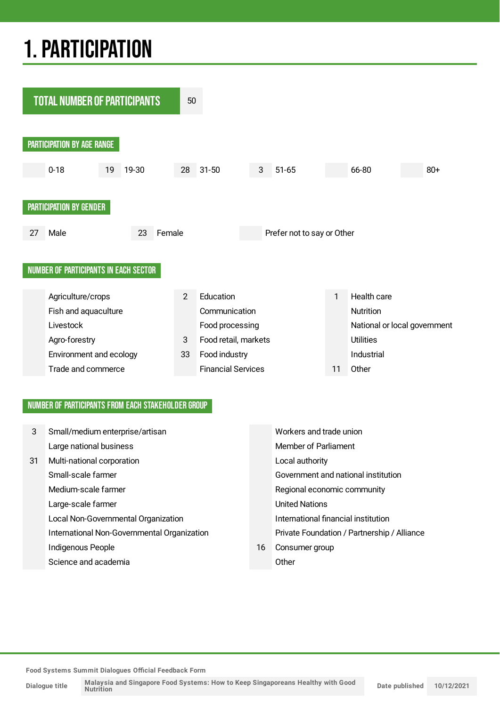## 1.PARTICIPATION



### NUMBER OF PARTICIPANTS FROM EACH STAKEHOLDER GROUP

| 3  | Small/medium enterprise/artisan             | Workers and trade union |                                             |
|----|---------------------------------------------|-------------------------|---------------------------------------------|
|    | Large national business                     |                         | Member of Parliament                        |
| 31 | Multi-national corporation                  |                         | Local authority                             |
|    | Small-scale farmer                          |                         | Government and national institution         |
|    | Medium-scale farmer                         |                         | Regional economic community                 |
|    | Large-scale farmer                          |                         | <b>United Nations</b>                       |
|    | Local Non-Governmental Organization         |                         | International financial institution         |
|    | International Non-Governmental Organization |                         | Private Foundation / Partnership / Alliance |
|    | Indigenous People                           | 16                      | Consumer group                              |
|    | Science and academia                        |                         | Other                                       |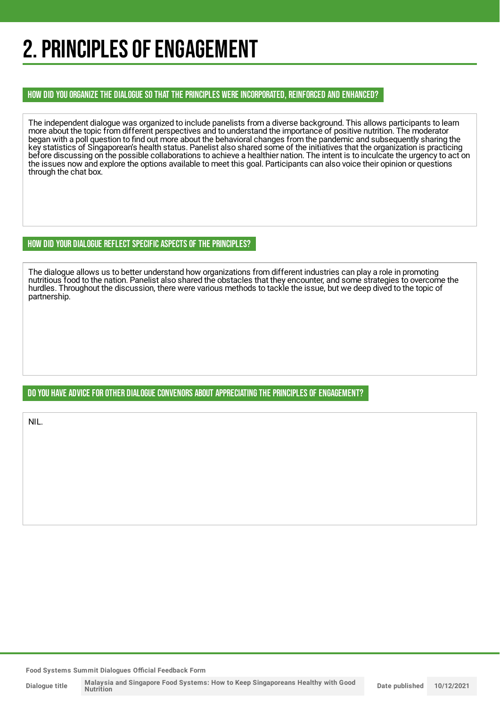## 2. PRINCIPLES OF ENGAGEMENT

### HOW DID YOU ORGANIZE THE DIALOGUE SO THAT THE PRINCIPLES WERE INCORPORATED, REINFORCED AND ENHANCED?

The independent dialogue was organized to include panelists from a diverse background. This allows participants to learn more about the topic from different perspectives and to understand the importance of positive nutrition. The moderator began with a poll question to find out more about the behavioral changes from the pandemic and subsequently sharing the key statistics of Singaporean's health status. Panelist also shared some of the initiatives that the organization is practicing before discussing on the possible collaborations to achieve a healthier nation. The intent is to inculcate the urgency to act on the issues now and explore the options available to meet this goal. Participants can also voice their opinion or questions through the chat box.

### HOW DID YOUR DIALOGUE REFLECT SPECIFIC ASPECTS OF THE PRINCIPLES?

The dialogue allows us to better understand how organizations from different industries can play a role in promoting nutritious food to the nation. Panelist also shared the obstacles that they encounter, and some strategies to overcome the hurdles. Throughout the discussion, there were various methods to tackle the issue, but we deep dived to the topic of partnership.

### DO YOU HAVE ADVICE FOR OTHER DIALOGUE CONVENORS ABOUT APPRECIATINGTHE PRINCIPLES OF ENGAGEMENT?

NIL.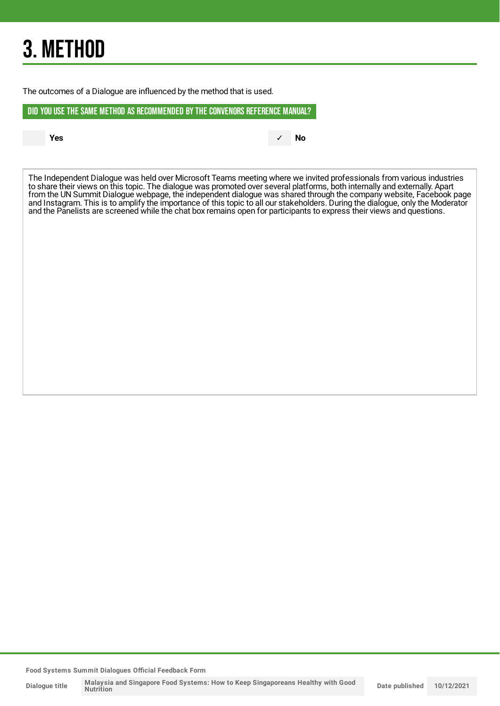## 3. METHOD

The outcomes of a Dialogue are influenced by the method that is used.

DID YOU USE THE SAME METHOD AS RECOMMENDED BYTHE CONVENORS REFERENCE MANUAL?

**Yes** ✓ **No**

The Independent Dialogue was held over Microsoft Teams meeting where we invited professionals from various industries to share their views on this topic. The dialogue was promoted over several platforms, both internally and externally. Apart from the UN Summit Dialogue webpage, the independent dialogue was shared through the company website, Facebook page and Instagram. This is to amplify the importance of this topic to all our stakeholders. During the dialogue, only the Moderator and the Panelists are screened while the chat box remains open for participants to express their views and questions.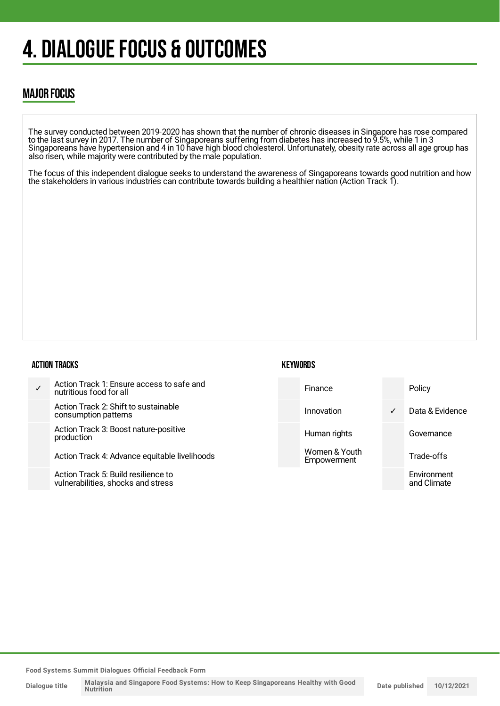## 4. DIALOGUE FOCUS & OUTCOMES

## MAJOR FOCUS

The survey conducted between 2019-2020 has shown that the number of chronic diseases in Singapore has rose compared to the last survey in 2017. The number of Singaporeans suffering from diabetes has increased to 9.5%, while 1 in 3 Singaporeans have hypertension and 4 in 10 have high blood cholesterol. Unfortunately, obesity rate across all age group has also risen, while majority were contributed by the male population.

The focus of this independent dialogue seeks to understand the awareness of Singaporeans towards good nutrition and how the stakeholders in various industries can contribute towards building a healthier nation (Action Track 1).

#### ACTION TRACKS

| Action Track 1: Ensure access to safe and<br>nutritious food for all |
|----------------------------------------------------------------------|
| Action Track 2: Shift to sustainable<br>consumption patterns         |
| Action Track 3: Boost nature-positive<br>production                  |
| Action Track 4: Advance equitable livelihoods                        |

Action Track 5: Build resilience to vulnerabilities, shocks and stress

## **KEYWORDS**

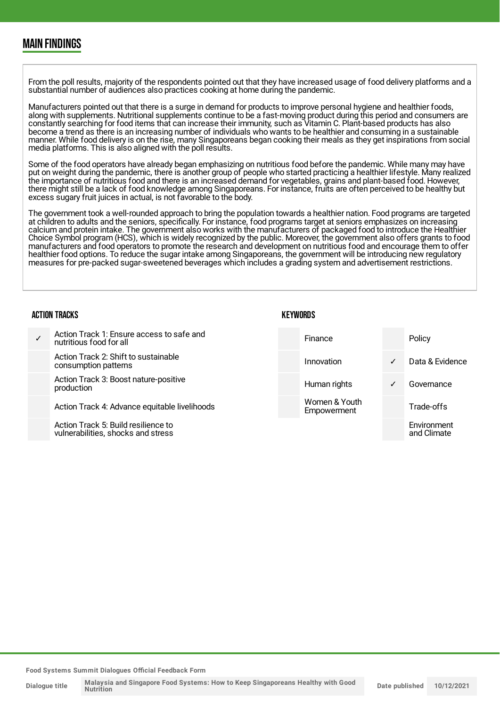## MAIN FINDINGS

From the poll results, majority of the respondents pointed out that they have increased usage of food delivery platforms and a substantial number of audiences also practices cooking at home during the pandemic.

Manufacturers pointed out that there is a surge in demand for products to improve personal hygiene and healthier foods, along with supplements. Nutritional supplements continue to be a fast-moving product during this period and consumers are constantly searching for food items that can increase their immunity, such as Vitamin C. Plant-based products has also become a trend as there is an increasing number of individuals who wants to be healthier and consuming in a sustainable manner. While food delivery is on the rise, many Singaporeans began cooking their meals as they get inspirations from social media platforms. This is also aligned with the poll results.

Some of the food operators have already began emphasizing on nutritious food before the pandemic. While many may have put on weight during the pandemic, there is another group of people who started practicing a healthier lifestyle. Many realized the importance of nutritious food and there is an increased demand for vegetables, grains and plant-based food. However, there might still be a lack of food knowledge among Singaporeans. For instance, fruits are often perceived to be healthy but excess sugary fruit juices in actual, is not favorable to the body.

The government took a well-rounded approach to bring the population towards a healthier nation. Food programs are targeted at children to adults and the seniors, specifically. For instance, food programs target at seniors emphasizes on increasing calcium and protein intake. The government also works with the manufacturers of packaged food to introduce the Healthier Choice Symbol program (HCS), which is widely recognized by the public. Moreover, the government also offers grants to food manufacturers and food operators to promote the research and development on nutritious food and encourage them to offer healthier food options. To reduce the sugar intake among Singaporeans, the government will be introducing new regulatory measures for pre-packed sugar-sweetened beverages which includes a grading system and advertisement restrictions.

#### ACTION TRACKS

**KEYWORDS** 

| $\checkmark$ | Action Track 1: Ensure access to safe and<br>nutritious food for all      | Finance                      |              | Policy                     |
|--------------|---------------------------------------------------------------------------|------------------------------|--------------|----------------------------|
|              | Action Track 2: Shift to sustainable<br>consumption patterns              | Innovation                   | $\checkmark$ | Data & Evidence            |
|              | Action Track 3: Boost nature-positive<br>production                       | Human rights                 | $\checkmark$ | Governance                 |
|              | Action Track 4: Advance equitable livelihoods                             | Women & Youth<br>Empowerment |              | Trade-offs                 |
|              | Action Track 5: Build resilience to<br>vulnerabilities, shocks and stress |                              |              | Environment<br>and Climate |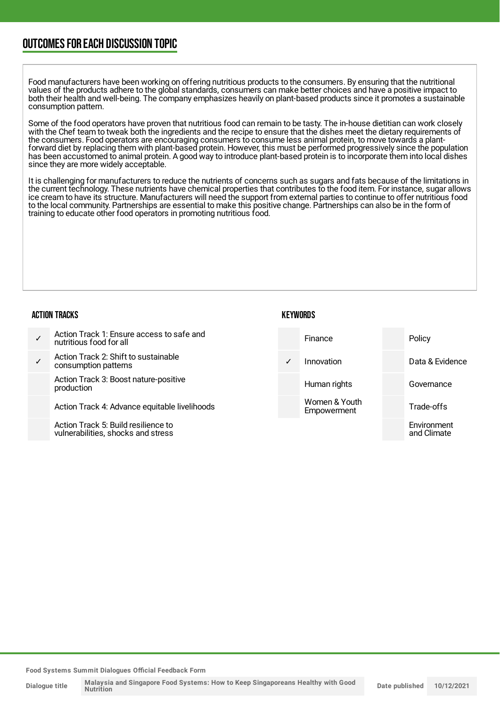## OUTCOMESFOR EACH DISCUSSION TOPIC

Food manufacturers have been working on offering nutritious products to the consumers. By ensuring that the nutritional values of the products adhere to the global standards, consumers can make better choices and have a positive impact to both their health and well-being. The company emphasizes heavily on plant-based products since it promotes a sustainable consumption pattern.

Some of the food operators have proven that nutritious food can remain to be tasty. The in-house dietitian can work closely with the Chef team to tweak both the ingredients and the recipe to ensure that the dishes meet the dietary requirements of the consumers. Food operators are encouraging consumers to consume less animal protein, to move towards a plantforward diet by replacing them with plant-based protein. However, this must be performed progressively since the population has been accustomed to animal protein. A good way to introduce plant-based protein is to incorporate them into local dishes since they are more widely acceptable.

It is challenging for manufacturers to reduce the nutrients of concerns such as sugars and fats because of the limitations in the current technology. These nutrients have chemical properties that contributes to the food item. For instance, sugar allows ice cream to have its structure. Manufacturers will need the support from external parties to continue to offer nutritious food to the local community. Partnerships are essential to make this positive change. Partnerships can also be in the form of training to educate other food operators in promoting nutritious food.

#### ACTION TRACKS

| Action Track 1: Ensure access to safe and<br>nutritious food for all |
|----------------------------------------------------------------------|
|                                                                      |

✓ Action Track 2: Shift to sustainable consumption patterns

> Action Track 3: Boost nature-positive production

Action Track 4: Advance equitable livelihoods

Action Track 5: Build resilience to vulnerabilities, shocks and stress



**KEYWORDS**